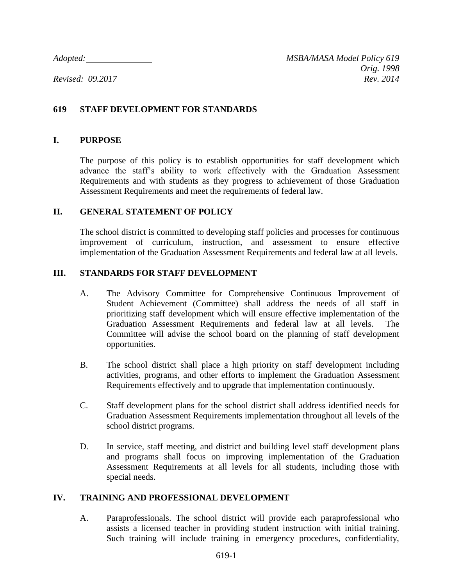# **619 STAFF DEVELOPMENT FOR STANDARDS**

## **I. PURPOSE**

The purpose of this policy is to establish opportunities for staff development which advance the staff's ability to work effectively with the Graduation Assessment Requirements and with students as they progress to achievement of those Graduation Assessment Requirements and meet the requirements of federal law.

### **II. GENERAL STATEMENT OF POLICY**

The school district is committed to developing staff policies and processes for continuous improvement of curriculum, instruction, and assessment to ensure effective implementation of the Graduation Assessment Requirements and federal law at all levels.

### **III. STANDARDS FOR STAFF DEVELOPMENT**

- A. The Advisory Committee for Comprehensive Continuous Improvement of Student Achievement (Committee) shall address the needs of all staff in prioritizing staff development which will ensure effective implementation of the Graduation Assessment Requirements and federal law at all levels. The Committee will advise the school board on the planning of staff development opportunities.
- B. The school district shall place a high priority on staff development including activities, programs, and other efforts to implement the Graduation Assessment Requirements effectively and to upgrade that implementation continuously.
- C. Staff development plans for the school district shall address identified needs for Graduation Assessment Requirements implementation throughout all levels of the school district programs.
- D. In service, staff meeting, and district and building level staff development plans and programs shall focus on improving implementation of the Graduation Assessment Requirements at all levels for all students, including those with special needs.

### **IV. TRAINING AND PROFESSIONAL DEVELOPMENT**

A. Paraprofessionals. The school district will provide each paraprofessional who assists a licensed teacher in providing student instruction with initial training. Such training will include training in emergency procedures, confidentiality,